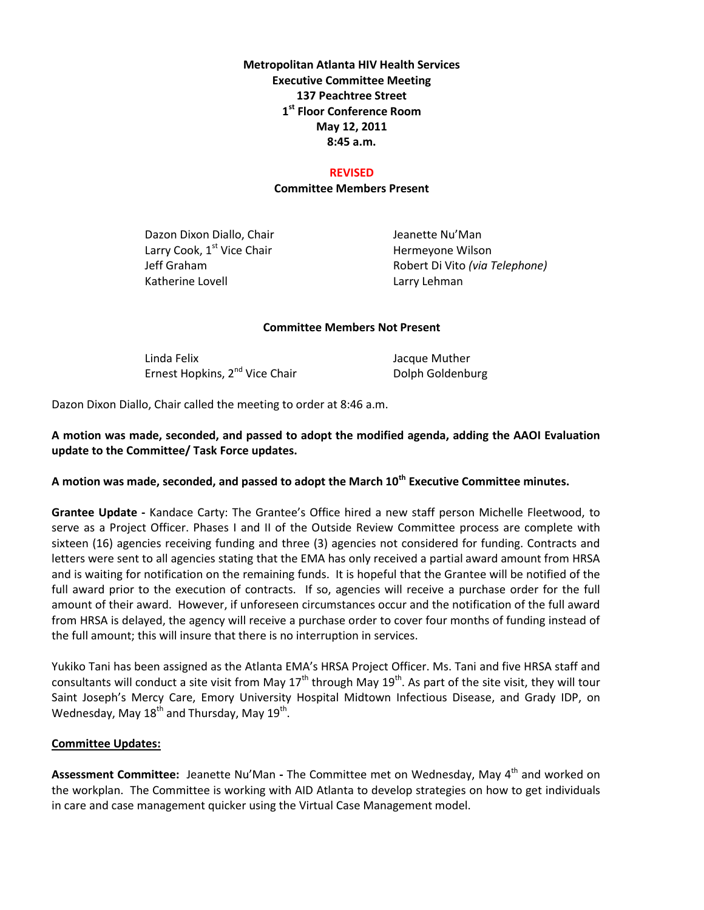## **Metropolitan Atlanta HIV Health Services Executive Committee Meeting 137 Peachtree Street 1 st Floor Conference Room May 12, 2011 8:45 a.m.**

#### **REVISED**

### **Committee Members Present**

Dazon Dixon Diallo, Chair **Jeanette Nu'Man** Larry Cook,  $1<sup>st</sup>$  Vice Chair Hermeyone Wilson Katherine Lovell **Lack Contract Contract Contract Contract Contract Contract Contract Contract Contract Contract Contract Contract Contract Contract Contract Contract Contract Contract Contract Contract Contract Contract C** 

Jeff Graham Robert Di Vito *(via Telephone)*

#### **Committee Members Not Present**

Linda Felix Jacque Muther Ernest Hopkins, 2<sup>nd</sup> Vice Chair **Dolph Goldenburg** Dolph Goldenburg

Dazon Dixon Diallo, Chair called the meeting to order at 8:46 a.m.

## **A motion was made, seconded, and passed to adopt the modified agenda, adding the AAOI Evaluation update to the Committee/ Task Force updates.**

# **A motion was made, seconded, and passed to adopt the March 10th Executive Committee minutes.**

**Grantee Update -** Kandace Carty: The Grantee's Office hired a new staff person Michelle Fleetwood, to serve as a Project Officer. Phases I and II of the Outside Review Committee process are complete with sixteen (16) agencies receiving funding and three (3) agencies not considered for funding. Contracts and letters were sent to all agencies stating that the EMA has only received a partial award amount from HRSA and is waiting for notification on the remaining funds. It is hopeful that the Grantee will be notified of the full award prior to the execution of contracts. If so, agencies will receive a purchase order for the full amount of their award. However, if unforeseen circumstances occur and the notification of the full award from HRSA is delayed, the agency will receive a purchase order to cover four months of funding instead of the full amount; this will insure that there is no interruption in services.

Yukiko Tani has been assigned as the Atlanta EMA's HRSA Project Officer. Ms. Tani and five HRSA staff and consultants will conduct a site visit from May  $17<sup>th</sup>$  through May  $19<sup>th</sup>$ . As part of the site visit, they will tour Saint Joseph's Mercy Care, Emory University Hospital Midtown Infectious Disease, and Grady IDP, on Wednesday, May 18<sup>th</sup> and Thursday, May 19<sup>th</sup>.

### **Committee Updates:**

Assessment Committee: Jeanette Nu'Man - The Committee met on Wednesday, May 4<sup>th</sup> and worked on the workplan. The Committee is working with AID Atlanta to develop strategies on how to get individuals in care and case management quicker using the Virtual Case Management model.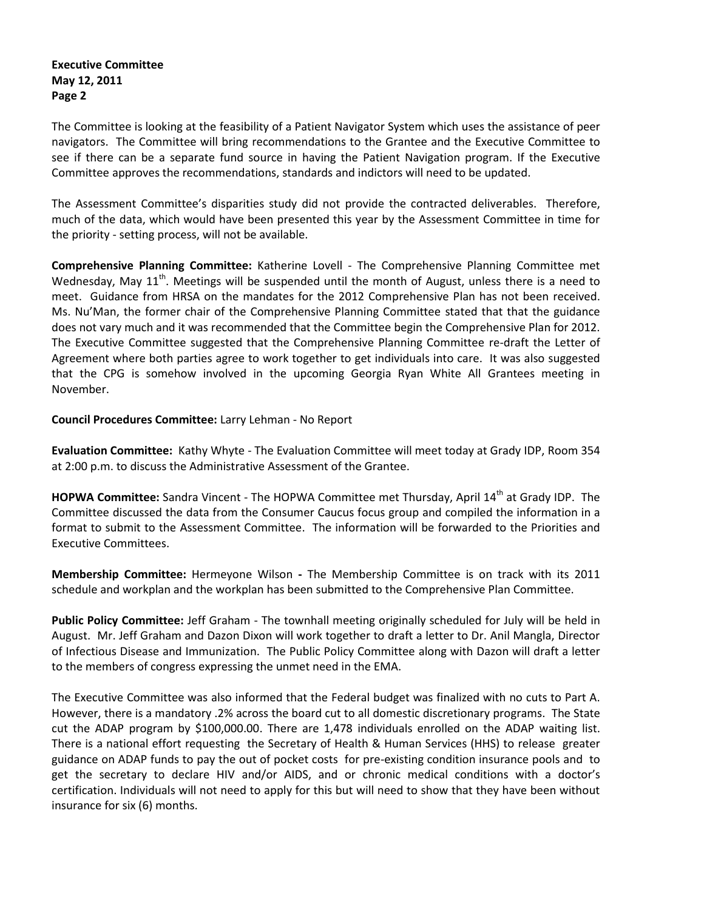## **Executive Committee May 12, 2011 Page 2**

The Committee is looking at the feasibility of a Patient Navigator System which uses the assistance of peer navigators. The Committee will bring recommendations to the Grantee and the Executive Committee to see if there can be a separate fund source in having the Patient Navigation program. If the Executive Committee approves the recommendations, standards and indictors will need to be updated.

The Assessment Committee's disparities study did not provide the contracted deliverables. Therefore, much of the data, which would have been presented this year by the Assessment Committee in time for the priority - setting process, will not be available.

**Comprehensive Planning Committee:** Katherine Lovell - The Comprehensive Planning Committee met Wednesday, May  $11^{\text{th}}$ . Meetings will be suspended until the month of August, unless there is a need to meet. Guidance from HRSA on the mandates for the 2012 Comprehensive Plan has not been received. Ms. Nu'Man, the former chair of the Comprehensive Planning Committee stated that that the guidance does not vary much and it was recommended that the Committee begin the Comprehensive Plan for 2012. The Executive Committee suggested that the Comprehensive Planning Committee re-draft the Letter of Agreement where both parties agree to work together to get individuals into care. It was also suggested that the CPG is somehow involved in the upcoming Georgia Ryan White All Grantees meeting in November.

**Council Procedures Committee:** Larry Lehman - No Report

**Evaluation Committee:** Kathy Whyte - The Evaluation Committee will meet today at Grady IDP, Room 354 at 2:00 p.m. to discuss the Administrative Assessment of the Grantee.

HOPWA Committee: Sandra Vincent - The HOPWA Committee met Thursday, April 14<sup>th</sup> at Grady IDP. The Committee discussed the data from the Consumer Caucus focus group and compiled the information in a format to submit to the Assessment Committee. The information will be forwarded to the Priorities and Executive Committees.

**Membership Committee:** Hermeyone Wilson **-** The Membership Committee is on track with its 2011 schedule and workplan and the workplan has been submitted to the Comprehensive Plan Committee.

**Public Policy Committee:** Jeff Graham - The townhall meeting originally scheduled for July will be held in August. Mr. Jeff Graham and Dazon Dixon will work together to draft a letter to Dr. Anil Mangla, Director of Infectious Disease and Immunization. The Public Policy Committee along with Dazon will draft a letter to the members of congress expressing the unmet need in the EMA.

The Executive Committee was also informed that the Federal budget was finalized with no cuts to Part A. However, there is a mandatory .2% across the board cut to all domestic discretionary programs. The State cut the ADAP program by \$100,000.00. There are 1,478 individuals enrolled on the ADAP waiting list. There is a national effort requesting the Secretary of Health & Human Services (HHS) to release greater guidance on ADAP funds to pay the out of pocket costs for pre-existing condition insurance pools and to get the secretary to declare HIV and/or AIDS, and or chronic medical conditions with a doctor's certification. Individuals will not need to apply for this but will need to show that they have been without insurance for six (6) months.